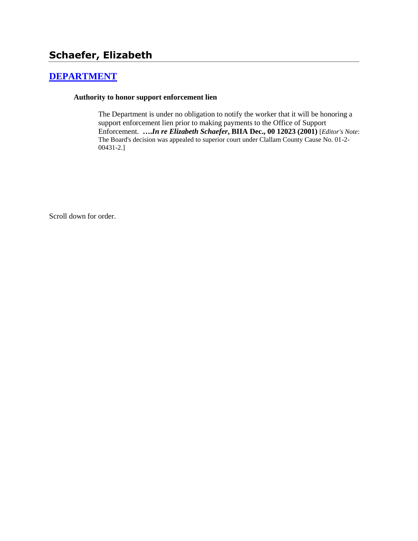# **[DEPARTMENT](http://www.biia.wa.gov/SDSubjectIndex.html#DEPARTMENT)**

#### **Authority to honor support enforcement lien**

The Department is under no obligation to notify the worker that it will be honoring a support enforcement lien prior to making payments to the Office of Support Enforcement. **….***In re Elizabeth Schaefer***, BIIA Dec., 00 12023 (2001)** [*Editor's Note*: The Board's decision was appealed to superior court under Clallam County Cause No. 01-2- 00431-2.]

Scroll down for order.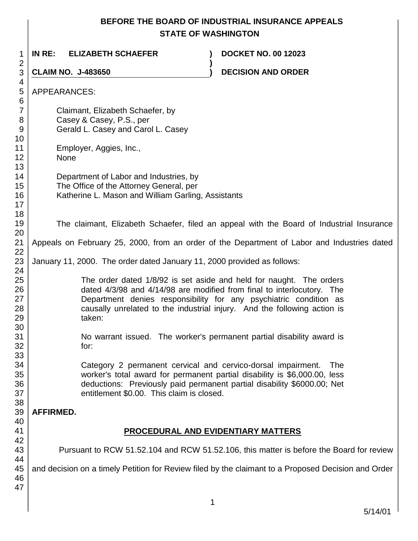# **BEFORE THE BOARD OF INDUSTRIAL INSURANCE APPEALS STATE OF WASHINGTON**

| 1<br>$\overline{2}$              | INRE:<br><b>ELIZABETH SCHAEFER</b>                                                                        | <b>DOCKET NO. 00 12023</b>                                                                                                                                                                                                                                                                     |  |
|----------------------------------|-----------------------------------------------------------------------------------------------------------|------------------------------------------------------------------------------------------------------------------------------------------------------------------------------------------------------------------------------------------------------------------------------------------------|--|
| 3                                | <b>CLAIM NO. J-483650</b>                                                                                 | <b>DECISION AND ORDER</b>                                                                                                                                                                                                                                                                      |  |
| 4<br>5<br>6                      | APPEARANCES:                                                                                              |                                                                                                                                                                                                                                                                                                |  |
| $\overline{7}$<br>8<br>9         | Claimant, Elizabeth Schaefer, by<br>Casey & Casey, P.S., per<br>Gerald L. Casey and Carol L. Casey        |                                                                                                                                                                                                                                                                                                |  |
| 10<br>11<br>12<br>13             | Employer, Aggies, Inc.,<br><b>None</b>                                                                    |                                                                                                                                                                                                                                                                                                |  |
| 14<br>15<br>16<br>17<br>18       | Department of Labor and Industries, by<br>The Office of the Attorney General, per                         | Katherine L. Mason and William Garling, Assistants                                                                                                                                                                                                                                             |  |
| 19<br>20                         |                                                                                                           | The claimant, Elizabeth Schaefer, filed an appeal with the Board of Industrial Insurance                                                                                                                                                                                                       |  |
| 21<br>22                         | Appeals on February 25, 2000, from an order of the Department of Labor and Industries dated               |                                                                                                                                                                                                                                                                                                |  |
| 23<br>24                         | January 11, 2000. The order dated January 11, 2000 provided as follows:                                   |                                                                                                                                                                                                                                                                                                |  |
| 25<br>26<br>27<br>28<br>29<br>30 | taken:                                                                                                    | The order dated 1/8/92 is set aside and held for naught. The orders<br>dated 4/3/98 and 4/14/98 are modified from final to interlocutory. The<br>Department denies responsibility for any psychiatric condition as<br>causally unrelated to the industrial injury. And the following action is |  |
| 31<br>32<br>33                   | for:                                                                                                      | No warrant issued. The worker's permanent partial disability award is                                                                                                                                                                                                                          |  |
| 34<br>35<br>36<br>37<br>38       | Category 2 permanent cervical and cervico-dorsal impairment.<br>entitlement \$0.00. This claim is closed. | <b>The</b><br>worker's total award for permanent partial disability is \$6,000.00, less<br>deductions: Previously paid permanent partial disability \$6000.00; Net                                                                                                                             |  |
| 39                               | <b>AFFIRMED.</b>                                                                                          |                                                                                                                                                                                                                                                                                                |  |
| 40<br>41                         | <b>PROCEDURAL AND EVIDENTIARY MATTERS</b>                                                                 |                                                                                                                                                                                                                                                                                                |  |
| 42<br>43                         | Pursuant to RCW 51.52.104 and RCW 51.52.106, this matter is before the Board for review                   |                                                                                                                                                                                                                                                                                                |  |
| 44<br>45<br>46<br>47             |                                                                                                           | and decision on a timely Petition for Review filed by the claimant to a Proposed Decision and Order                                                                                                                                                                                            |  |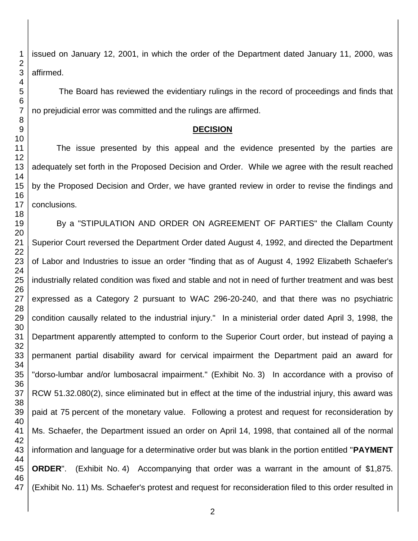issued on January 12, 2001, in which the order of the Department dated January 11, 2000, was affirmed.

The Board has reviewed the evidentiary rulings in the record of proceedings and finds that no prejudicial error was committed and the rulings are affirmed.

#### **DECISION**

The issue presented by this appeal and the evidence presented by the parties are adequately set forth in the Proposed Decision and Order. While we agree with the result reached by the Proposed Decision and Order, we have granted review in order to revise the findings and conclusions.

By a "STIPULATION AND ORDER ON AGREEMENT OF PARTIES" the Clallam County Superior Court reversed the Department Order dated August 4, 1992, and directed the Department of Labor and Industries to issue an order "finding that as of August 4, 1992 Elizabeth Schaefer's industrially related condition was fixed and stable and not in need of further treatment and was best expressed as a Category 2 pursuant to WAC 296-20-240, and that there was no psychiatric condition causally related to the industrial injury." In a ministerial order dated April 3, 1998, the Department apparently attempted to conform to the Superior Court order, but instead of paying a permanent partial disability award for cervical impairment the Department paid an award for "dorso-lumbar and/or lumbosacral impairment." (Exhibit No. 3) In accordance with a proviso of RCW 51.32.080(2), since eliminated but in effect at the time of the industrial injury, this award was paid at 75 percent of the monetary value. Following a protest and request for reconsideration by Ms. Schaefer, the Department issued an order on April 14, 1998, that contained all of the normal information and language for a determinative order but was blank in the portion entitled "**PAYMENT ORDER**". (Exhibit No. 4) Accompanying that order was a warrant in the amount of \$1,875. (Exhibit No. 11) Ms. Schaefer's protest and request for reconsideration filed to this order resulted in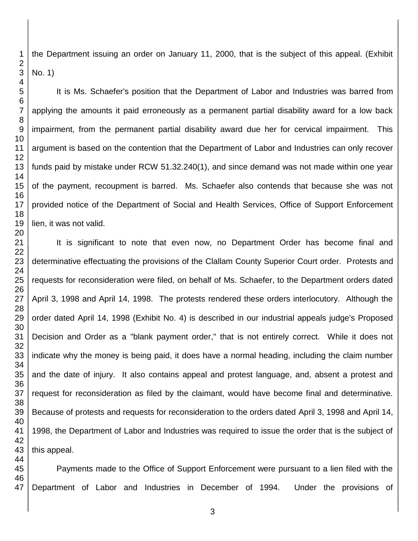the Department issuing an order on January 11, 2000, that is the subject of this appeal. (Exhibit No. 1)

It is Ms. Schaefer's position that the Department of Labor and Industries was barred from applying the amounts it paid erroneously as a permanent partial disability award for a low back impairment, from the permanent partial disability award due her for cervical impairment. This argument is based on the contention that the Department of Labor and Industries can only recover funds paid by mistake under RCW 51.32.240(1), and since demand was not made within one year of the payment, recoupment is barred. Ms. Schaefer also contends that because she was not provided notice of the Department of Social and Health Services, Office of Support Enforcement lien, it was not valid.

It is significant to note that even now, no Department Order has become final and determinative effectuating the provisions of the Clallam County Superior Court order. Protests and requests for reconsideration were filed, on behalf of Ms. Schaefer, to the Department orders dated April 3, 1998 and April 14, 1998. The protests rendered these orders interlocutory. Although the order dated April 14, 1998 (Exhibit No. 4) is described in our industrial appeals judge's Proposed Decision and Order as a "blank payment order," that is not entirely correct. While it does not indicate why the money is being paid, it does have a normal heading, including the claim number and the date of injury. It also contains appeal and protest language, and, absent a protest and request for reconsideration as filed by the claimant, would have become final and determinative. Because of protests and requests for reconsideration to the orders dated April 3, 1998 and April 14, 1998, the Department of Labor and Industries was required to issue the order that is the subject of this appeal.

 Payments made to the Office of Support Enforcement were pursuant to a lien filed with the Department of Labor and Industries in December of 1994. Under the provisions of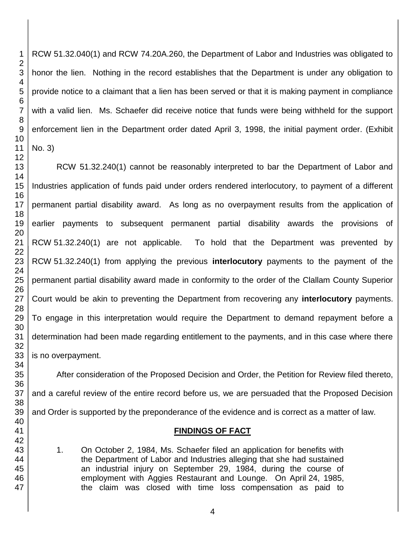RCW 51.32.040(1) and RCW 74.20A.260, the Department of Labor and Industries was obligated to honor the lien. Nothing in the record establishes that the Department is under any obligation to provide notice to a claimant that a lien has been served or that it is making payment in compliance with a valid lien. Ms. Schaefer did receive notice that funds were being withheld for the support enforcement lien in the Department order dated April 3, 1998, the initial payment order. (Exhibit No. 3)

RCW 51.32.240(1) cannot be reasonably interpreted to bar the Department of Labor and Industries application of funds paid under orders rendered interlocutory, to payment of a different permanent partial disability award. As long as no overpayment results from the application of earlier payments to subsequent permanent partial disability awards the provisions of RCW 51.32.240(1) are not applicable. To hold that the Department was prevented by RCW 51.32.240(1) from applying the previous **interlocutory** payments to the payment of the permanent partial disability award made in conformity to the order of the Clallam County Superior Court would be akin to preventing the Department from recovering any **interlocutory** payments. To engage in this interpretation would require the Department to demand repayment before a determination had been made regarding entitlement to the payments, and in this case where there is no overpayment.

After consideration of the Proposed Decision and Order, the Petition for Review filed thereto, and a careful review of the entire record before us, we are persuaded that the Proposed Decision and Order is supported by the preponderance of the evidence and is correct as a matter of law.

### **FINDINGS OF FACT**

1. On October 2, 1984, Ms. Schaefer filed an application for benefits with the Department of Labor and Industries alleging that she had sustained an industrial injury on September 29, 1984, during the course of employment with Aggies Restaurant and Lounge. On April 24, 1985, the claim was closed with time loss compensation as paid to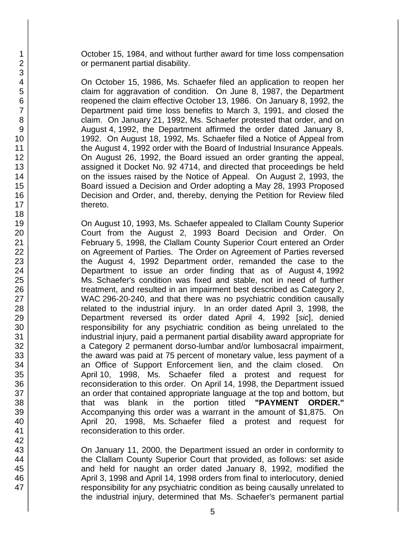October 15, 1984, and without further award for time loss compensation or permanent partial disability.

On October 15, 1986, Ms. Schaefer filed an application to reopen her claim for aggravation of condition. On June 8, 1987, the Department reopened the claim effective October 13, 1986. On January 8, 1992, the Department paid time loss benefits to March 3, 1991, and closed the claim. On January 21, 1992, Ms. Schaefer protested that order, and on August 4, 1992, the Department affirmed the order dated January 8, 1992. On August 18, 1992, Ms. Schaefer filed a Notice of Appeal from the August 4, 1992 order with the Board of Industrial Insurance Appeals. On August 26, 1992, the Board issued an order granting the appeal, assigned it Docket No. 92 4714, and directed that proceedings be held on the issues raised by the Notice of Appeal. On August 2, 1993, the Board issued a Decision and Order adopting a May 28, 1993 Proposed Decision and Order, and, thereby, denying the Petition for Review filed thereto.

On August 10, 1993, Ms. Schaefer appealed to Clallam County Superior Court from the August 2, 1993 Board Decision and Order. On February 5, 1998, the Clallam County Superior Court entered an Order on Agreement of Parties. The Order on Agreement of Parties reversed the August 4, 1992 Department order, remanded the case to the Department to issue an order finding that as of August 4, 1992 Ms. Schaefer's condition was fixed and stable, not in need of further treatment, and resulted in an impairment best described as Category 2, WAC 296-20-240, and that there was no psychiatric condition causally related to the industrial injury. In an order dated April 3, 1998, the Department reversed its order dated April 4, 1992 [*sic*], denied responsibility for any psychiatric condition as being unrelated to the industrial injury, paid a permanent partial disability award appropriate for a Category 2 permanent dorso-lumbar and/or lumbosacral impairment, the award was paid at 75 percent of monetary value, less payment of a an Office of Support Enforcement lien, and the claim closed. On April 10, 1998, Ms. Schaefer filed a protest and request for reconsideration to this order. On April 14, 1998, the Department issued an order that contained appropriate language at the top and bottom, but that was blank in the portion titled **"PAYMENT ORDER."** Accompanying this order was a warrant in the amount of \$1,875. On April 20, 1998, Ms. Schaefer filed a protest and request for reconsideration to this order.

On January 11, 2000, the Department issued an order in conformity to the Clallam County Superior Court that provided, as follows: set aside and held for naught an order dated January 8, 1992, modified the April 3, 1998 and April 14, 1998 orders from final to interlocutory, denied responsibility for any psychiatric condition as being causally unrelated to the industrial injury, determined that Ms. Schaefer's permanent partial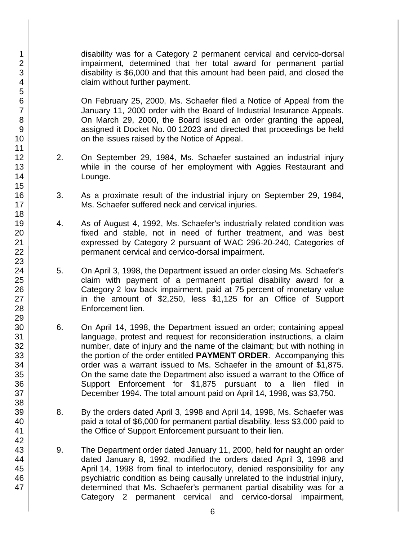disability was for a Category 2 permanent cervical and cervico-dorsal impairment, determined that her total award for permanent partial disability is \$6,000 and that this amount had been paid, and closed the claim without further payment.

On February 25, 2000, Ms. Schaefer filed a Notice of Appeal from the January 11, 2000 order with the Board of Industrial Insurance Appeals. On March 29, 2000, the Board issued an order granting the appeal, assigned it Docket No. 00 12023 and directed that proceedings be held on the issues raised by the Notice of Appeal.

- 2. On September 29, 1984, Ms. Schaefer sustained an industrial injury while in the course of her employment with Aggies Restaurant and Lounge.
- 3. As a proximate result of the industrial injury on September 29, 1984, Ms. Schaefer suffered neck and cervical injuries.
- 4. As of August 4, 1992, Ms. Schaefer's industrially related condition was fixed and stable, not in need of further treatment, and was best expressed by Category 2 pursuant of WAC 296-20-240, Categories of permanent cervical and cervico-dorsal impairment.
- 5. On April 3, 1998, the Department issued an order closing Ms. Schaefer's claim with payment of a permanent partial disability award for a Category 2 low back impairment, paid at 75 percent of monetary value in the amount of \$2,250, less \$1,125 for an Office of Support Enforcement lien.
- 6. On April 14, 1998, the Department issued an order; containing appeal language, protest and request for reconsideration instructions, a claim number, date of injury and the name of the claimant; but with nothing in the portion of the order entitled **PAYMENT ORDER**. Accompanying this order was a warrant issued to Ms. Schaefer in the amount of \$1,875. On the same date the Department also issued a warrant to the Office of Support Enforcement for \$1,875 pursuant to a lien filed in December 1994. The total amount paid on April 14, 1998, was \$3,750.
- 8. By the orders dated April 3, 1998 and April 14, 1998, Ms. Schaefer was paid a total of \$6,000 for permanent partial disability, less \$3,000 paid to the Office of Support Enforcement pursuant to their lien.
- 9. The Department order dated January 11, 2000, held for naught an order dated January 8, 1992, modified the orders dated April 3, 1998 and April 14, 1998 from final to interlocutory, denied responsibility for any psychiatric condition as being causally unrelated to the industrial injury, determined that Ms. Schaefer's permanent partial disability was for a Category 2 permanent cervical and cervico-dorsal impairment,

1